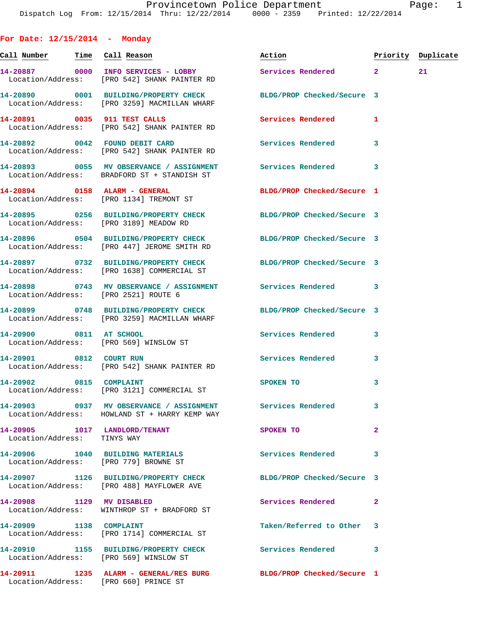**For Date: 12/15/2014 - Monday Call Number Time Call Reason Action Priority Duplicate 14-20887 0000 INFO SERVICES - LOBBY Services Rendered 2 21**  Location/Address: [PRO 542] SHANK PAINTER RD **14-20890 0001 BUILDING/PROPERTY CHECK BLDG/PROP Checked/Secure 3**  Location/Address: [PRO 3259] MACMILLAN WHARF **14-20891 0035 911 TEST CALLS Services Rendered 1**  Location/Address: [PRO 542] SHANK PAINTER RD **14-20892 0042 FOUND DEBIT CARD Services Rendered 3**  Location/Address: [PRO 542] SHANK PAINTER RD **14-20893 0055 MV OBSERVANCE / ASSIGNMENT Services Rendered 3**  Location/Address: BRADFORD ST + STANDISH ST **14-20894 0158 ALARM - GENERAL BLDG/PROP Checked/Secure 1**  Location/Address: [PRO 1134] TREMONT ST **14-20895 0256 BUILDING/PROPERTY CHECK BLDG/PROP Checked/Secure 3**  Location/Address: [PRO 3189] MEADOW RD **14-20896 0504 BUILDING/PROPERTY CHECK BLDG/PROP Checked/Secure 3**  Location/Address: [PRO 447] JEROME SMITH RD **14-20897 0732 BUILDING/PROPERTY CHECK BLDG/PROP Checked/Secure 3**  Location/Address: [PRO 1638] COMMERCIAL ST **14-20898 0743 MV OBSERVANCE / ASSIGNMENT Services Rendered 3**  Location/Address: [PRO 2521] ROUTE 6 **14-20899 0748 BUILDING/PROPERTY CHECK BLDG/PROP Checked/Secure 3**  Location/Address: [PRO 3259] MACMILLAN WHARF **14-20900 0811 AT SCHOOL Services Rendered 3**  Location/Address: [PRO 569] WINSLOW ST **14-20901 0812 COURT RUN Services Rendered 3**  Location/Address: [PRO 542] SHANK PAINTER RD **14-20902** 0815 COMPLAINT SPOKEN TO 3 Location/Address: [PRO 3121] COMMERCIAL ST **14-20903 0937 MV OBSERVANCE / ASSIGNMENT Services Rendered 3**  Location/Address: HOWLAND ST + HARRY KEMP WAY **14-20905 1017 LANDLORD/TENANT SPOKEN TO 2**  Location/Address: TINYS WAY **14-20906 1040 BUILDING MATERIALS Services Rendered 3**  Location/Address: [PRO 779] BROWNE ST **14-20907 1126 BUILDING/PROPERTY CHECK BLDG/PROP Checked/Secure 3**  Location/Address: [PRO 488] MAYFLOWER AVE **14-20908 1129 MV DISABLED Services Rendered 2**  Location/Address: WINTHROP ST + BRADFORD ST **14-20909 1138 COMPLAINT Taken/Referred to Other 3**  Location/Address: [PRO 1714] COMMERCIAL ST **14-20910 1155 BUILDING/PROPERTY CHECK Services Rendered 3**  Location/Address: [PRO 569] WINSLOW ST

**14-20911 1235 ALARM - GENERAL/RES BURG BLDG/PROP Checked/Secure 1**  Location/Address: [PRO 660] PRINCE ST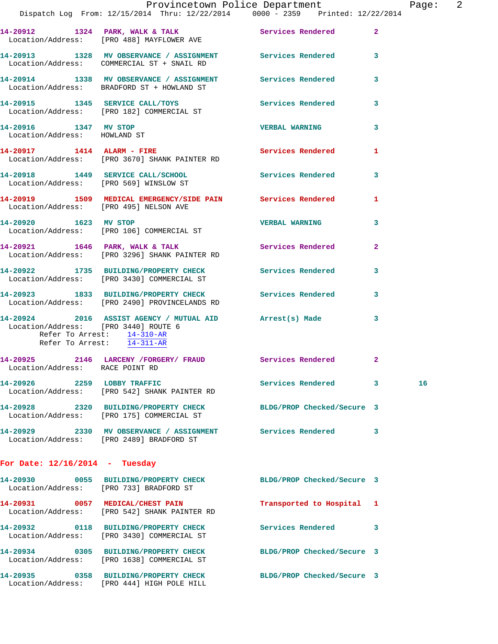|                                                       | Dispatch Log From: 12/15/2014 Thru: 12/22/2014 0000 - 2359 Printed: 12/22/2014                                                                              | Provincetown Police Department |                | Page: 2 |  |
|-------------------------------------------------------|-------------------------------------------------------------------------------------------------------------------------------------------------------------|--------------------------------|----------------|---------|--|
|                                                       | 14-20912 1324 PARK, WALK & TALK Services Rendered<br>Location/Address: [PRO 488] MAYFLOWER AVE                                                              |                                | $\overline{2}$ |         |  |
|                                                       | 14-20913 1328 MV OBSERVANCE / ASSIGNMENT Services Rendered<br>Location/Address: COMMERCIAL ST + SNAIL RD                                                    |                                | 3              |         |  |
|                                                       | 14-20914 1338 MV OBSERVANCE / ASSIGNMENT Services Rendered<br>Location/Address: BRADFORD ST + HOWLAND ST                                                    |                                | 3              |         |  |
|                                                       | 14-20915 1345 SERVICE CALL/TOYS Services Rendered<br>Location/Address: [PRO 182] COMMERCIAL ST                                                              |                                | 3              |         |  |
| 14-20916 1347 MV STOP<br>Location/Address: HOWLAND ST |                                                                                                                                                             | <b>VERBAL WARNING</b>          | 3              |         |  |
|                                                       | 14-20917 1414 ALARM - FIRE<br>Location/Address: [PRO 3670] SHANK PAINTER RD                                                                                 | Services Rendered              | 1              |         |  |
|                                                       | 14-20918 1449 SERVICE CALL/SCHOOL Services Rendered<br>Location/Address: [PRO 569] WINSLOW ST                                                               |                                | 3              |         |  |
|                                                       | 14-20919 1509 MEDICAL EMERGENCY/SIDE PAIN Services Rendered<br>Location/Address: [PRO 495] NELSON AVE                                                       |                                | $\mathbf{1}$   |         |  |
|                                                       | 14-20920 1623 MV STOP<br>Location/Address: [PRO 106] COMMERCIAL ST                                                                                          | <b>VERBAL WARNING</b>          | 3              |         |  |
|                                                       | 14-20921 1646 PARK, WALK & TALK Services Rendered<br>Location/Address: [PRO 3296] SHANK PAINTER RD                                                          |                                | $\mathbf{2}$   |         |  |
|                                                       | 14-20922 1735 BUILDING/PROPERTY CHECK Services Rendered<br>Location/Address: [PRO 3430] COMMERCIAL ST                                                       |                                | 3              |         |  |
|                                                       | 14-20923 1833 BUILDING/PROPERTY CHECK Services Rendered<br>Location/Address: [PRO 2490] PROVINCELANDS RD                                                    |                                | 3              |         |  |
|                                                       | 14-20924 2016 ASSIST AGENCY / MUTUAL AID Arrest(s) Made<br>Location/Address: [PRO 3440] ROUTE 6<br>Refer To Arrest: 14-310-AR<br>Refer To Arrest: 14-311-AR |                                | 3              |         |  |
| Location/Address: RACE POINT RD                       | 14-20925 2146 LARCENY / FORGERY / FRAUD Services Rendered 2                                                                                                 |                                |                |         |  |
| 14-20926 2259 LOBBY TRAFFIC                           | Location/Address: [PRO 542] SHANK PAINTER RD                                                                                                                | Services Rendered              | 3              | 16      |  |
|                                                       | 14-20928 2320 BUILDING/PROPERTY CHECK<br>Location/Address: [PRO 175] COMMERCIAL ST                                                                          | BLDG/PROP Checked/Secure 3     |                |         |  |
|                                                       | 14-20929 2330 MV OBSERVANCE / ASSIGNMENT Services Rendered<br>Location/Address: [PRO 2489] BRADFORD ST                                                      |                                | 3              |         |  |
| For Date: $12/16/2014$ - Tuesday                      |                                                                                                                                                             |                                |                |         |  |
|                                                       | 14-20930 0055 BUILDING/PROPERTY CHECK BLDG/PROP Checked/Secure 3<br>Location/Address: [PRO 733] BRADFORD ST                                                 |                                |                |         |  |
|                                                       | 14-20931 0057 MEDICAL/CHEST PAIN<br>Location/Address: [PRO 542] SHANK PAINTER RD                                                                            | Transported to Hospital 1      |                |         |  |
|                                                       | 14-20932 0118 BUILDING/PROPERTY CHECK<br>Location/Address: [PRO 3430] COMMERCIAL ST                                                                         | Services Rendered              | 3              |         |  |
|                                                       | 14-20934 0305 BUILDING/PROPERTY CHECK<br>Location/Address: [PRO 1638] COMMERCIAL ST                                                                         | BLDG/PROP Checked/Secure 3     |                |         |  |
|                                                       | 14-20935 0358 BUILDING/PROPERTY CHECK<br>Location/Address: [PRO 444] HIGH POLE HILL                                                                         | BLDG/PROP Checked/Secure 3     |                |         |  |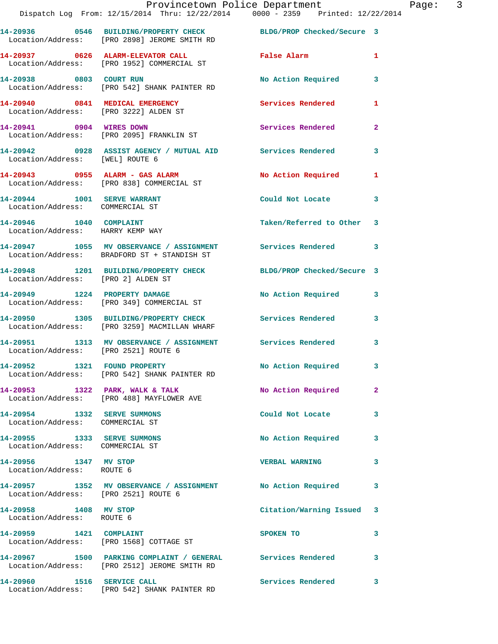|                                                                          | Provincetown Police Department<br>Dispatch Log From: 12/15/2014 Thru: 12/22/2014 0000 - 2359 Printed: 12/22/2014 |                            |              |
|--------------------------------------------------------------------------|------------------------------------------------------------------------------------------------------------------|----------------------------|--------------|
|                                                                          | 14-20936 0546 BUILDING/PROPERTY CHECK BLDG/PROP Checked/Secure 3<br>Location/Address: [PRO 2898] JEROME SMITH RD |                            |              |
|                                                                          | 14-20937 0626 ALARM-ELEVATOR CALL<br>Location/Address: [PRO 1952] COMMERCIAL ST                                  | <b>False Alarm</b>         | 1            |
| 14-20938 0803 COURT RUN                                                  | Location/Address: [PRO 542] SHANK PAINTER RD                                                                     | <b>No Action Required</b>  | 3            |
| 14-20940 0841 MEDICAL EMERGENCY<br>Location/Address: [PRO 3222] ALDEN ST |                                                                                                                  | Services Rendered          | 1            |
| 14-20941 0904 WIRES DOWN                                                 | Location/Address: [PRO 2095] FRANKLIN ST                                                                         | Services Rendered          | $\mathbf{2}$ |
| Location/Address: [WEL] ROUTE 6                                          | 14-20942 0928 ASSIST AGENCY / MUTUAL AID Services Rendered                                                       |                            | 3            |
|                                                                          | 14-20943 0955 ALARM - GAS ALARM<br>Location/Address: [PRO 838] COMMERCIAL ST                                     | <b>No Action Required</b>  | 1            |
| 14-20944 1001 SERVE WARRANT<br>Location/Address: COMMERCIAL ST           |                                                                                                                  | Could Not Locate           | 3            |
| 14-20946 1040 COMPLAINT<br>Location/Address: HARRY KEMP WAY              |                                                                                                                  | Taken/Referred to Other    | 3            |
|                                                                          | 14-20947 1055 MV OBSERVANCE / ASSIGNMENT<br>Location/Address: BRADFORD ST + STANDISH ST                          | Services Rendered          | 3            |
| Location/Address: [PRO 2] ALDEN ST                                       | 14-20948 1201 BUILDING/PROPERTY CHECK                                                                            | BLDG/PROP Checked/Secure 3 |              |
|                                                                          | 14-20949 1224 PROPERTY DAMAGE<br>Location/Address: [PRO 349] COMMERCIAL ST                                       | No Action Required         | 3            |
|                                                                          | 14-20950 1305 BUILDING/PROPERTY CHECK<br>Location/Address: [PRO 3259] MACMILLAN WHARF                            | <b>Services Rendered</b>   | 3            |
| Location/Address: [PRO 2521] ROUTE 6                                     | 14-20951 1313 MV OBSERVANCE / ASSIGNMENT Services Rendered                                                       |                            | 3            |
| 14-20952 1321 FOUND PROPERTY                                             | Location/Address: [PRO 542] SHANK PAINTER RD                                                                     | <b>No Action Required</b>  |              |
|                                                                          | 14-20953 1322 PARK, WALK & TALK<br>Location/Address: [PRO 488] MAYFLOWER AVE                                     | No Action Required         | $\mathbf{2}$ |
| 14-20954 1332 SERVE SUMMONS<br>Location/Address: COMMERCIAL ST           |                                                                                                                  | Could Not Locate           | 3            |
| 14-20955 1333 SERVE SUMMONS<br>Location/Address: COMMERCIAL ST           |                                                                                                                  | No Action Required         | 3            |
| 14-20956 1347 MV STOP<br>Location/Address: ROUTE 6                       |                                                                                                                  | <b>VERBAL WARNING</b>      | 3            |
| Location/Address: [PRO 2521] ROUTE 6                                     | 14-20957 1352 MV OBSERVANCE / ASSIGNMENT No Action Required                                                      |                            | 3            |
| 14-20958 1408 MV STOP<br>Location/Address: ROUTE 6                       |                                                                                                                  | Citation/Warning Issued    | 3            |
|                                                                          | Location/Address: [PRO 1568] COTTAGE ST                                                                          | SPOKEN TO                  | 3            |
|                                                                          | 14-20967 1500 PARKING COMPLAINT / GENERAL Services Rendered<br>Location/Address: [PRO 2512] JEROME SMITH RD      |                            | 3            |
| 14-20960 1516 SERVICE CALL                                               | Location/Address: [PRO 542] SHANK PAINTER RD                                                                     | Services Rendered          | 3            |

Page: 3<br>14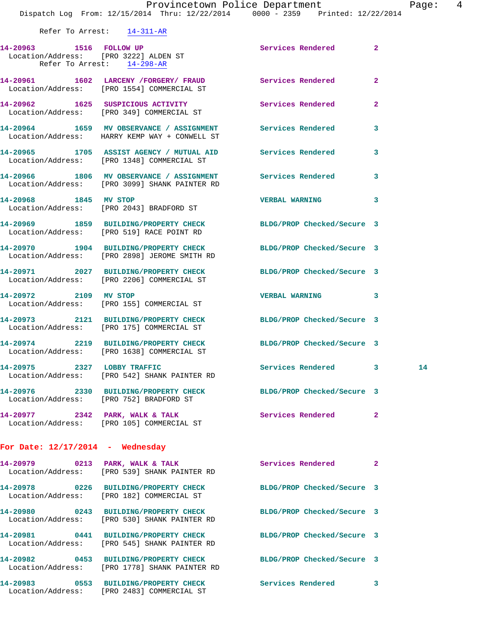Refer To Arrest: 14-311-AR **14-20963 1516 FOLLOW UP Services Rendered 2**  Location/Address: [PRO 3222] ALDEN ST Refer To Arrest: 14-298-AR **14-20961 1602 LARCENY /FORGERY/ FRAUD Services Rendered 2**  Location/Address: [PRO 1554] COMMERCIAL ST **14-20962 1625 SUSPICIOUS ACTIVITY Services Rendered 2**  Location/Address: [PRO 349] COMMERCIAL ST **14-20964 1659 MV OBSERVANCE / ASSIGNMENT Services Rendered 3**  Location/Address: HARRY KEMP WAY + CONWELL ST **14-20965 1705 ASSIST AGENCY / MUTUAL AID Services Rendered 3**  Location/Address: [PRO 1348] COMMERCIAL ST **14-20966 1806 MV OBSERVANCE / ASSIGNMENT Services Rendered 3**  Location/Address: [PRO 3099] SHANK PAINTER RD **14-20968 1845 MV STOP VERBAL WARNING 3**  Location/Address: [PRO 2043] BRADFORD ST **14-20969 1859 BUILDING/PROPERTY CHECK BLDG/PROP Checked/Secure 3**  Location/Address: [PRO 519] RACE POINT RD

Location/Address: [PRO 2898] JEROME SMITH RD

Location/Address: [PRO 2206] COMMERCIAL ST

Location/Address: [PRO 155] COMMERCIAL ST

Location/Address: [PRO 175] COMMERCIAL ST

Location/Address: [PRO 1638] COMMERCIAL ST

Location/Address: [PRO 542] SHANK PAINTER RD

Location/Address: [PRO 752] BRADFORD ST

Location/Address: [PRO 105] COMMERCIAL ST

14-20977 2342 PARK, WALK & TALK **Services Rendered** 2

**14-20970 1904 BUILDING/PROPERTY CHECK BLDG/PROP Checked/Secure 3 14-20971 2027 BUILDING/PROPERTY CHECK BLDG/PROP Checked/Secure 3 14-20972 2109 MV STOP VERBAL WARNING 3 14-20973 2121 BUILDING/PROPERTY CHECK BLDG/PROP Checked/Secure 3 14-20974 2219 BUILDING/PROPERTY CHECK BLDG/PROP Checked/Secure 3 14-20975 2327 LOBBY TRAFFIC Services Rendered 3 14 14-20976 2330 BUILDING/PROPERTY CHECK BLDG/PROP Checked/Secure 3** 

**For Date: 12/17/2014 - Wednesday**

**14-20979 0213 PARK, WALK & TALK Services Rendered 2**  Location/Address: [PRO 539] SHANK PAINTER RD

**14-20978 0226 BUILDING/PROPERTY CHECK BLDG/PROP Checked/Secure 3**  Location/Address: [PRO 182] COMMERCIAL ST

Location/Address: [PRO 530] SHANK PAINTER RD

Location/Address: [PRO 2483] COMMERCIAL ST

 Location/Address: [PRO 545] SHANK PAINTER RD **14-20982 0453 BUILDING/PROPERTY CHECK BLDG/PROP Checked/Secure 3**  Location/Address: [PRO 1778] SHANK PAINTER RD

**14-20983 0553 BUILDING/PROPERTY CHECK Services Rendered 3** 

**14-20980 0243 BUILDING/PROPERTY CHECK BLDG/PROP Checked/Secure 3 14-20981 0441 BUILDING/PROPERTY CHECK BLDG/PROP Checked/Secure 3**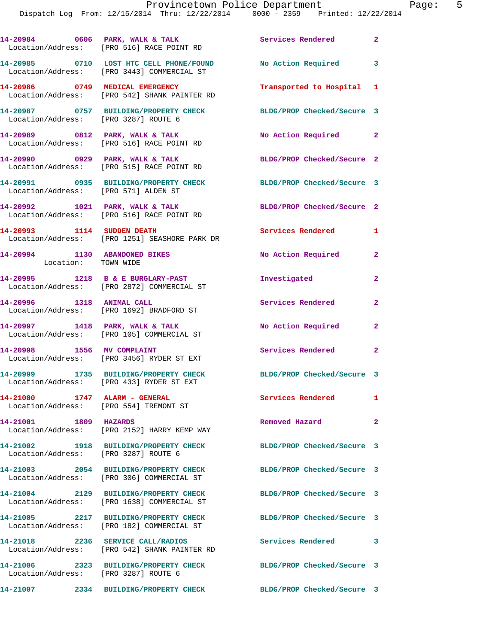Dispatch Log From: 12/15/2014 Thru: 12/22/2014 0000 - 2359 Printed: 12/22/2014

14-20984 0606 PARK, WALK & TALK **Services Rendered** 2 Location/Address: [PRO 516] RACE POINT RD **14-20985 0710 LOST HTC CELL PHONE/FOUND No Action Required 3**  Location/Address: [PRO 3443] COMMERCIAL ST **14-20986 0749 MEDICAL EMERGENCY Transported to Hospital 1**  Location/Address: [PRO 542] SHANK PAINTER RD **14-20987 0757 BUILDING/PROPERTY CHECK BLDG/PROP Checked/Secure 3**  Location/Address: [PRO 3287] ROUTE 6 **14-20989 0812 PARK, WALK & TALK No Action Required 2**  Location/Address: [PRO 516] RACE POINT RD **14-20990 0929 PARK, WALK & TALK BLDG/PROP Checked/Secure 2**  Location/Address: [PRO 515] RACE POINT RD **14-20991 0935 BUILDING/PROPERTY CHECK BLDG/PROP Checked/Secure 3**  Location/Address: [PRO 571] ALDEN ST **14-20992 1021 PARK, WALK & TALK BLDG/PROP Checked/Secure 2**  Location/Address: [PRO 516] RACE POINT RD **14-20993 1114 SUDDEN DEATH Services Rendered 1**  Location/Address: [PRO 1251] SEASHORE PARK DR **14-20994 1130 ABANDONED BIKES No Action Required 2**  Location: TOWN WIDE **14-20995 1218 B & E BURGLARY-PAST Investigated 2**  Location/Address: [PRO 2872] COMMERCIAL ST **14-20996 1318 ANIMAL CALL Services Rendered 2**  Location/Address: [PRO 1692] BRADFORD ST **14-20997 1418 PARK, WALK & TALK No Action Required 2**  Location/Address: [PRO 105] COMMERCIAL ST **14-20998 1556 MV COMPLAINT Services Rendered 2**  Location/Address: [PRO 3456] RYDER ST EXT **14-20999 1735 BUILDING/PROPERTY CHECK BLDG/PROP Checked/Secure 3**  Location/Address: [PRO 433] RYDER ST EXT **14-21000 1747 ALARM - GENERAL Services Rendered 1**  Location/Address: [PRO 554] TREMONT ST **14-21001 1809 HAZARDS Removed Hazard 2**  Location/Address: [PRO 2152] HARRY KEMP WAY **14-21002 1918 BUILDING/PROPERTY CHECK BLDG/PROP Checked/Secure 3**  Location/Address: [PRO 3287] ROUTE 6 **14-21003 2054 BUILDING/PROPERTY CHECK BLDG/PROP Checked/Secure 3**  Location/Address: [PRO 306] COMMERCIAL ST **14-21004 2129 BUILDING/PROPERTY CHECK BLDG/PROP Checked/Secure 3**  Location/Address: [PRO 1638] COMMERCIAL ST **14-21005 2217 BUILDING/PROPERTY CHECK BLDG/PROP Checked/Secure 3**  Location/Address: [PRO 182] COMMERCIAL ST **14-21018 2236 SERVICE CALL/RADIOS Services Rendered 3**  Location/Address: [PRO 542] SHANK PAINTER RD **14-21006 2323 BUILDING/PROPERTY CHECK BLDG/PROP Checked/Secure 3**  Location/Address: [PRO 3287] ROUTE 6 **14-21007 2334 BUILDING/PROPERTY CHECK BLDG/PROP Checked/Secure 3**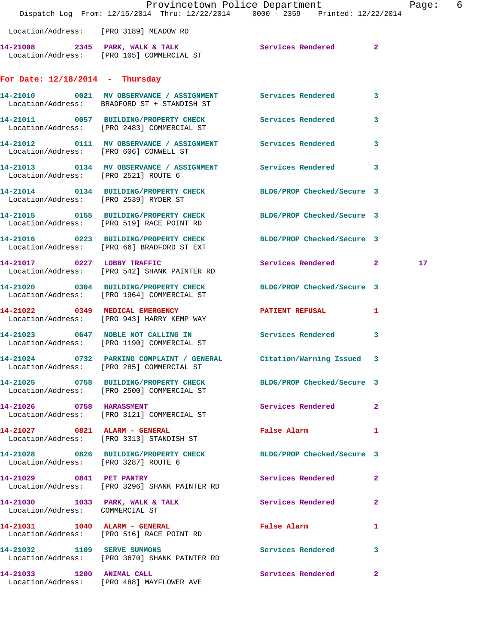|                                        | Dispatch Log From: 12/15/2014 Thru: 12/22/2014 0000 - 2359 Printed: 12/22/2014                                   | Provincetown Police Department              |              | Page: | -6 |
|----------------------------------------|------------------------------------------------------------------------------------------------------------------|---------------------------------------------|--------------|-------|----|
|                                        | Location/Address: [PRO 3189] MEADOW RD                                                                           |                                             |              |       |    |
|                                        | 14-21008 2345 PARK, WALK & TALK Services Rendered 2                                                              |                                             |              |       |    |
|                                        | Location/Address: [PRO 105] COMMERCIAL ST                                                                        |                                             |              |       |    |
| For Date: $12/18/2014$ - Thursday      |                                                                                                                  |                                             |              |       |    |
|                                        | 14-21010 0021 MV OBSERVANCE / ASSIGNMENT Services Rendered 3<br>Location/Address: BRADFORD ST + STANDISH ST      |                                             |              |       |    |
|                                        | 14-21011 0057 BUILDING/PROPERTY CHECK Services Rendered<br>Location/Address: [PRO 2483] COMMERCIAL ST            |                                             | $\mathbf{3}$ |       |    |
| Location/Address: [PRO 606] CONWELL ST | 14-21012 0111 MV OBSERVANCE / ASSIGNMENT Services Rendered 3                                                     |                                             |              |       |    |
|                                        | 14-21013 0134 MV OBSERVANCE / ASSIGNMENT Services Rendered 3<br>Location/Address: [PRO 2521] ROUTE 6             |                                             |              |       |    |
|                                        | 14-21014 0134 BUILDING/PROPERTY CHECK BLDG/PROP Checked/Secure 3<br>Location/Address: [PRO 2539] RYDER ST        |                                             |              |       |    |
|                                        | 14-21015 0155 BUILDING/PROPERTY CHECK<br>Location/Address: [PRO 519] RACE POINT RD                               | BLDG/PROP Checked/Secure 3                  |              |       |    |
|                                        | 14-21016 0223 BUILDING/PROPERTY CHECK<br>Location/Address: [PRO 66] BRADFORD ST EXT                              | BLDG/PROP Checked/Secure 3                  |              |       |    |
|                                        | 14-21017 0227 LOBBY TRAFFIC<br>Location/Address: [PRO 542] SHANK PAINTER RD                                      | Services Rendered 2                         |              | 17    |    |
|                                        | 14-21020 0304 BUILDING/PROPERTY CHECK<br>Location/Address: [PRO 1964] COMMERCIAL ST                              | BLDG/PROP Checked/Secure 3                  |              |       |    |
|                                        | 14-21022 0349 MEDICAL EMERGENCY<br>Location/Address: [PRO 943] HARRY KEMP WAY                                    | PATIENT REFUSAL 1                           |              |       |    |
|                                        | 14-21023 0647 NOBLE NOT CALLING IN<br>Location/Address: [PRO 1190] COMMERCIAL ST                                 | <b>Services Rendered</b>                    | 3            |       |    |
|                                        | 14-21024 0732 PARKING COMPLAINT / GENERAL Citation/Warning Issued 3<br>Location/Address: [PRO 285] COMMERCIAL ST |                                             |              |       |    |
|                                        | 14-21025 0758 BUILDING/PROPERTY CHECK BLDG/PROP Checked/Secure 3<br>Location/Address: [PRO 2500] COMMERCIAL ST   |                                             |              |       |    |
|                                        | 14-21026 0758 HARASSMENT<br>Location/Address: [PRO 3121] COMMERCIAL ST                                           | Services Rendered 2                         |              |       |    |
|                                        | 14-21027 0821 ALARM - GENERAL<br>Location/Address: [PRO 3313] STANDISH ST                                        | False Alarm <b>Exercise Service Service</b> | 1            |       |    |
| Location/Address: [PRO 3287] ROUTE 6   | 14-21028 0826 BUILDING/PROPERTY CHECK BLDG/PROP Checked/Secure 3                                                 |                                             |              |       |    |
|                                        | 14-21029 0841 PET PANTRY<br>Location/Address: [PRO 3296] SHANK PAINTER RD                                        | Services Rendered                           | $\mathbf{2}$ |       |    |
| Location/Address: COMMERCIAL ST        | 14-21030 1033 PARK, WALK & TALK                                                                                  | Services Rendered 2                         |              |       |    |
|                                        | 14-21031    1040    ALARM - GENERAL<br>Location/Address: [PRO 516] RACE POINT RD                                 | False Alarm                                 | $\mathbf{1}$ |       |    |
|                                        | 14-21032 1109 SERVE SUMMONS<br>Location/Address: [PRO 3670] SHANK PAINTER RD                                     | Services Rendered 3                         |              |       |    |
| 14-21033 1200 ANIMAL CALL              | Location/Address: [PRO 488] MAYFLOWER AVE                                                                        | Services Rendered                           | $\mathbf{2}$ |       |    |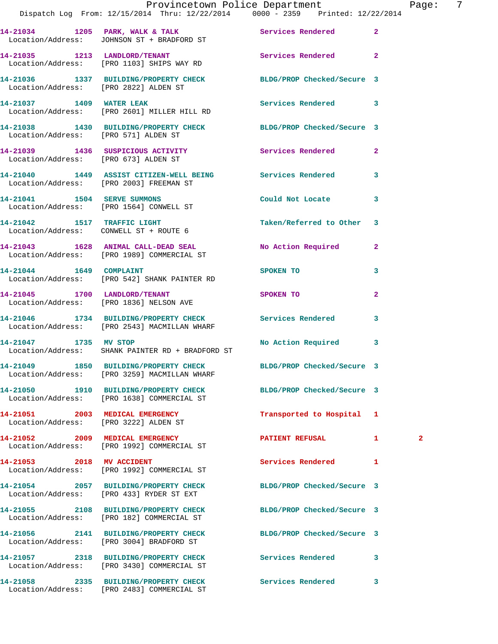|                                       | Provincetown Police Department<br>Dispatch Log From: 12/15/2014 Thru: 12/22/2014 0000 - 2359 Printed: 12/22/2014 |                            | Pag               |
|---------------------------------------|------------------------------------------------------------------------------------------------------------------|----------------------------|-------------------|
|                                       | 14-21034 1205 PARK, WALK & TALK Services Rendered<br>Location/Address: JOHNSON ST + BRADFORD ST                  |                            | $\overline{2}$    |
|                                       | 14-21035 1213 LANDLORD/TENANT Services Rendered<br>Location/Address: [PRO 1103] SHIPS WAY RD                     |                            | $\overline{2}$    |
| Location/Address: [PRO 2822] ALDEN ST | 14-21036 1337 BUILDING/PROPERTY CHECK BLDG/PROP Checked/Secure 3                                                 |                            |                   |
|                                       | 14-21037 1409 WATER LEAK<br>Location/Address: [PRO 2601] MILLER HILL RD                                          | Services Rendered 3        |                   |
|                                       | 14-21038 1430 BUILDING/PROPERTY CHECK BLDG/PROP Checked/Secure 3<br>Location/Address: [PRO 571] ALDEN ST         |                            |                   |
| Location/Address: [PRO 673] ALDEN ST  | 14-21039 1436 SUSPICIOUS ACTIVITY                                                                                | Services Rendered          | $\mathbf{2}$      |
|                                       | 14-21040 1449 ASSIST CITIZEN-WELL BEING Services Rendered<br>Location/Address: [PRO 2003] FREEMAN ST             |                            | 3                 |
|                                       | 14-21041    1504 SERVE SUMMONS<br>Location/Address: [PRO 1564] CONWELL ST                                        | Could Not Locate           | 3                 |
|                                       | 14-21042 1517 TRAFFIC LIGHT<br>Location/Address: CONWELL ST + ROUTE 6                                            | Taken/Referred to Other 3  |                   |
|                                       | 14-21043 1628 ANIMAL CALL-DEAD SEAL No Action Required<br>Location/Address: [PRO 1989] COMMERCIAL ST             |                            | $\mathbf{2}$      |
| 14-21044   1649   COMPLAINT           | Location/Address: [PRO 542] SHANK PAINTER RD                                                                     | <b>SPOKEN TO</b>           | 3                 |
|                                       | 14-21045 1700 LANDLORD/TENANT<br>Location/Address: [PRO 1836] NELSON AVE                                         | SPOKEN TO                  | $\overline{a}$    |
|                                       | 14-21046 1734 BUILDING/PROPERTY CHECK Services Rendered<br>Location/Address: [PRO 2543] MACMILLAN WHARF          |                            | 3                 |
|                                       | 14-21047 1735 MV STOP<br>Location/Address: SHANK PAINTER RD + BRADFORD ST                                        | No Action Required         | 3                 |
|                                       | 14-21049 1850 BUILDING/PROPERTY CHECK<br>Location/Address: [PRO 3259] MACMILLAN WHARF                            | BLDG/PROP Checked/Secure 3 |                   |
|                                       | 14-21050 1910 BUILDING/PROPERTY CHECK BLDG/PROP Checked/Secure 3<br>Location/Address: [PRO 1638] COMMERCIAL ST   |                            |                   |
| 14-21051  2003 MEDICAL EMERGENCY      | Location/Address: [PRO 3222] ALDEN ST                                                                            | Transported to Hospital 1  |                   |
|                                       | 14-21052 2009 MEDICAL EMERGENCY<br>Location/Address: [PRO 1992] COMMERCIAL ST                                    | <b>PATIENT REFUSAL</b>     | 1<br>$\mathbf{2}$ |
| 14-21053 2018 MV ACCIDENT             | Location/Address: [PRO 1992] COMMERCIAL ST                                                                       | Services Rendered          | 1                 |
|                                       | 14-21054 2057 BUILDING/PROPERTY CHECK<br>Location/Address: [PRO 433] RYDER ST EXT                                | BLDG/PROP Checked/Secure 3 |                   |
|                                       | 14-21055 2108 BUILDING/PROPERTY CHECK BLDG/PROP Checked/Secure 3<br>Location/Address: [PRO 182] COMMERCIAL ST    |                            |                   |
|                                       | 14-21056 2141 BUILDING/PROPERTY CHECK<br>Location/Address: [PRO 3004] BRADFORD ST                                | BLDG/PROP Checked/Secure 3 |                   |
|                                       | 14-21057 2318 BUILDING/PROPERTY CHECK<br>Location/Address: [PRO 3430] COMMERCIAL ST                              | Services Rendered          | 3                 |
|                                       | 14-21058 2335 BUILDING/PROPERTY CHECK                                                                            | Services Rendered          | 3                 |

Location/Address: [PRO 2483] COMMERCIAL ST

age: 7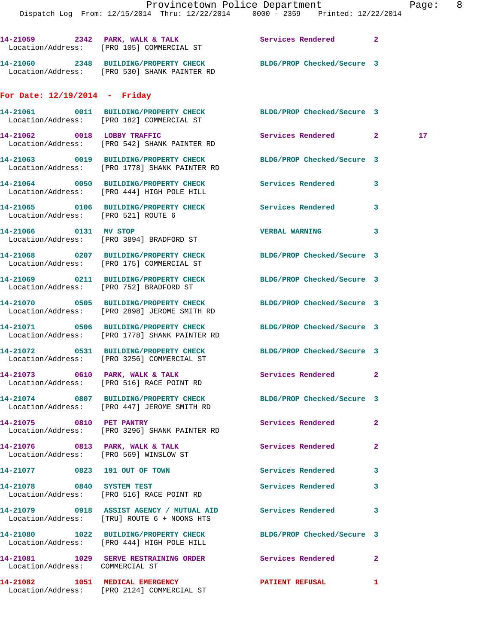Location/Address: [PRO 105] COMMERCIAL ST **14-21060 2348 BUILDING/PROPERTY CHECK BLDG/PROP Checked/Secure 3**  Location/Address: [PRO 530] SHANK PAINTER RD

**14-21059 2342 PARK, WALK & TALK Services Rendered 2** 

## **For Date: 12/19/2014 - Friday**

|                                     | 14-21061 0011 BUILDING/PROPERTY CHECK BLDG/PROP Checked/Secure 3<br>Location/Address: [PRO 182] COMMERCIAL ST     |                        |              |    |
|-------------------------------------|-------------------------------------------------------------------------------------------------------------------|------------------------|--------------|----|
|                                     | 14-21062 0018 LOBBY TRAFFIC<br>Location/Address: [PRO 542] SHANK PAINTER RD                                       | Services Rendered 2    |              | 17 |
|                                     | 14-21063 0019 BUILDING/PROPERTY CHECK BLDG/PROP Checked/Secure 3<br>Location/Address: [PRO 1778] SHANK PAINTER RD |                        |              |    |
|                                     | 14-21064 0050 BUILDING/PROPERTY CHECK Services Rendered<br>Location/Address: [PRO 444] HIGH POLE HILL             |                        | 3            |    |
| Location/Address: [PRO 521] ROUTE 6 | 14-21065 0106 BUILDING/PROPERTY CHECK Services Rendered                                                           |                        | 3            |    |
| 14-21066 0131 MV STOP               | Location/Address: [PRO 3894] BRADFORD ST                                                                          | <b>VERBAL WARNING</b>  | 3            |    |
|                                     | 14-21068 0207 BUILDING/PROPERTY CHECK BLDG/PROP Checked/Secure 3<br>Location/Address: [PRO 175] COMMERCIAL ST     |                        |              |    |
|                                     | 14-21069 0211 BUILDING/PROPERTY CHECK BLDG/PROP Checked/Secure 3<br>Location/Address: [PRO 752] BRADFORD ST       |                        |              |    |
|                                     | 14-21070 0505 BUILDING/PROPERTY CHECK BLDG/PROP Checked/Secure 3<br>Location/Address: [PRO 2898] JEROME SMITH RD  |                        |              |    |
|                                     | 14-21071 0506 BUILDING/PROPERTY CHECK BLDG/PROP Checked/Secure 3<br>Location/Address: [PRO 1778] SHANK PAINTER RD |                        |              |    |
|                                     | 14-21072 0531 BUILDING/PROPERTY CHECK BLDG/PROP Checked/Secure 3<br>Location/Address: [PRO 3256] COMMERCIAL ST    |                        |              |    |
|                                     | 14-21073 0610 PARK, WALK & TALK 5 Services Rendered 2<br>Location/Address: [PRO 516] RACE POINT RD                |                        |              |    |
|                                     | 14-21074 0807 BUILDING/PROPERTY CHECK BLDG/PROP Checked/Secure 3<br>Location/Address: [PRO 447] JEROME SMITH RD   |                        |              |    |
| 14-21075 0810 PET PANTRY            | Location/Address: [PRO 3296] SHANK PAINTER RD                                                                     | Services Rendered 2    |              |    |
|                                     | 14-21076 0813 PARK, WALK & TALK 6 Services Rendered 2<br>Location/Address: [PRO 569] WINSLOW ST                   |                        |              |    |
|                                     | 14-21077 0823 191 OUT OF TOWN                                                                                     | Services Rendered      |              |    |
| 14-21078 0840 SYSTEM TEST           | Location/Address: [PRO 516] RACE POINT RD                                                                         | Services Rendered      | 3            |    |
|                                     | 14-21079 0918 ASSIST AGENCY / MUTUAL AID Services Rendered<br>Location/Address: [TRU] ROUTE 6 + NOONS HTS         |                        | 3            |    |
|                                     | 14-21080 1022 BUILDING/PROPERTY CHECK BLDG/PROP Checked/Secure 3<br>Location/Address: [PRO 444] HIGH POLE HILL    |                        |              |    |
| Location/Address: COMMERCIAL ST     | 14-21081 1029 SERVE RESTRAINING ORDER Services Rendered                                                           |                        | $\mathbf{2}$ |    |
|                                     | 14-21082 1051 MEDICAL EMERGENCY<br>Location/Address: [PRO 2124] COMMERCIAL ST                                     | <b>PATIENT REFUSAL</b> | 1            |    |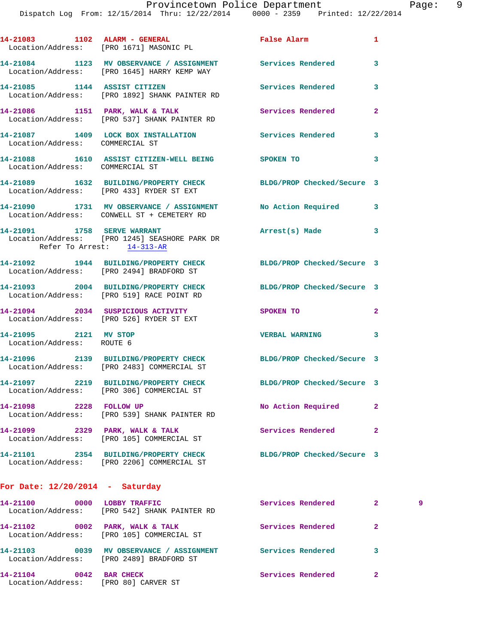|                                                    | 14-21083 1102 ALARM - GENERAL<br>Location/Address: [PRO 1671] MASONIC PL                                       | <b>False Alarm</b>         | $\mathbf{1}$   |   |
|----------------------------------------------------|----------------------------------------------------------------------------------------------------------------|----------------------------|----------------|---|
|                                                    | 14-21084 1123 MV OBSERVANCE / ASSIGNMENT Services Rendered<br>Location/Address: [PRO 1645] HARRY KEMP WAY      |                            | 3              |   |
|                                                    | 14-21085 1144 ASSIST CITIZEN<br>Location/Address: [PRO 1892] SHANK PAINTER RD                                  | Services Rendered          | 3              |   |
|                                                    | 14-21086 1151 PARK, WALK & TALK<br>Location/Address: [PRO 537] SHANK PAINTER RD                                | Services Rendered          | $\overline{2}$ |   |
| Location/Address: COMMERCIAL ST                    | 14-21087 1409 LOCK BOX INSTALLATION Services Rendered                                                          |                            | 3              |   |
| Location/Address: COMMERCIAL ST                    | 14-21088 1610 ASSIST CITIZEN-WELL BEING SPOKEN TO                                                              |                            | 3              |   |
|                                                    | 14-21089 1632 BUILDING/PROPERTY CHECK BLDG/PROP Checked/Secure 3<br>Location/Address: [PRO 433] RYDER ST EXT   |                            |                |   |
|                                                    | 14-21090 1731 MV OBSERVANCE / ASSIGNMENT No Action Required<br>Location/Address: CONWELL ST + CEMETERY RD      |                            | 3              |   |
|                                                    | 14-21091 1758 SERVE WARRANT<br>Location/Address: [PRO 1245] SEASHORE PARK DR<br>Refer To Arrest: 14-313-AR     | Arrest(s) Made             | 3              |   |
|                                                    | 14-21092 1944 BUILDING/PROPERTY CHECK BLDG/PROP Checked/Secure 3<br>Location/Address: [PRO 2494] BRADFORD ST   |                            |                |   |
|                                                    | 14-21093 2004 BUILDING/PROPERTY CHECK BLDG/PROP Checked/Secure 3<br>Location/Address: [PRO 519] RACE POINT RD  |                            |                |   |
|                                                    | 14-21094 2034 SUSPICIOUS ACTIVITY<br>Location/Address: [PRO 526] RYDER ST EXT                                  | SPOKEN TO                  | $\mathbf{2}$   |   |
| 14-21095 2121 MV STOP<br>Location/Address: ROUTE 6 |                                                                                                                | <b>VERBAL WARNING</b>      | 3              |   |
|                                                    | 14-21096 2139 BUILDING/PROPERTY CHECK BLDG/PROP Checked/Secure 3<br>Location/Address: [PRO 2483] COMMERCIAL ST |                            |                |   |
|                                                    | 14-21097 2219 BUILDING/PROPERTY CHECK<br>Location/Address: [PRO 306] COMMERCIAL ST                             | BLDG/PROP Checked/Secure 3 |                |   |
| 14-21098 2228 FOLLOW UP                            | Location/Address: [PRO 539] SHANK PAINTER RD                                                                   | No Action Required         | $\overline{a}$ |   |
|                                                    | 14-21099 2329 PARK, WALK & TALK<br>Location/Address: [PRO 105] COMMERCIAL ST                                   | Services Rendered          | $\mathbf{2}$   |   |
|                                                    | 14-21101 2354 BUILDING/PROPERTY CHECK BLDG/PROP Checked/Secure 3<br>Location/Address: [PRO 2206] COMMERCIAL ST |                            |                |   |
| For Date: $12/20/2014$ - Saturday                  |                                                                                                                |                            |                |   |
|                                                    | 14-21100 0000 LOBBY TRAFFIC<br>Location/Address: [PRO 542] SHANK PAINTER RD                                    | Services Rendered          | $\mathbf{2}$   | 9 |
|                                                    | 14-21102 0002 PARK, WALK & TALK<br>Location/Address: [PRO 105] COMMERCIAL ST                                   | Services Rendered          | $\overline{a}$ |   |
|                                                    |                                                                                                                |                            | 3              |   |

**14-21104 0042 BAR CHECK Services Rendered 2**  Location/Address: [PRO 80] CARVER ST

Location/Address: [PRO 2489] BRADFORD ST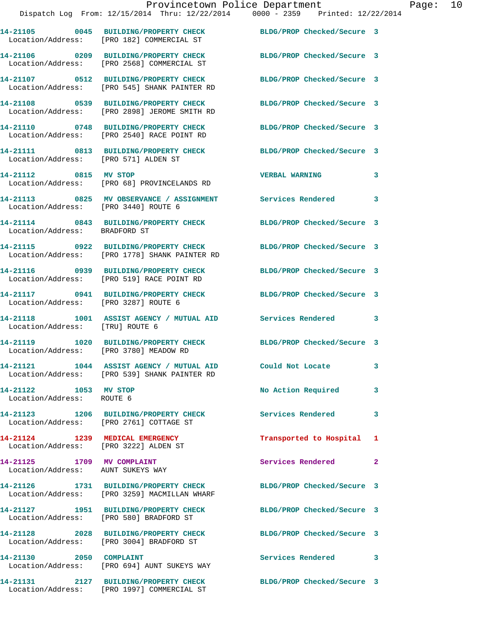| 14-21105          | 0045 BUILDING/PROPERTY CHECK | BLDG/PROP Checked/Secure 3 |  |
|-------------------|------------------------------|----------------------------|--|
| Location/Address: | [PRO 182] COMMERCIAL ST      |                            |  |

**14-21106 0209 BUILDING/PROPERTY CHECK BLDG/PROP Checked/Secure 3**  Location/Address: [PRO 2568] COMMERCIAL ST

**14-21108 0539 BUILDING/PROPERTY CHECK BLDG/PROP Checked/Secure 3** 

Location/Address: [PRO 571] ALDEN ST

Location/Address: BRADFORD ST

Location/Address: [PRO 3287] ROUTE 6

Location/Address: [TRU] ROUTE 6

Location/Address: [PRO 3780] MEADOW RD

Location/Address: ROUTE 6

Location/Address: [PRO 3222] ALDEN ST

Location/Address: AUNT SUKEYS WAY

Location/Address: [PRO 3004] BRADFORD ST

**14-21107 0512 BUILDING/PROPERTY CHECK BLDG/PROP Checked/Secure 3**  Location/Address: [PRO 545] SHANK PAINTER RD

Location/Address: [PRO 2898] JEROME SMITH RD

**14-21110 0748 BUILDING/PROPERTY CHECK BLDG/PROP Checked/Secure 3**  Location/Address: [PRO 2540] RACE POINT RD

**14-21111 0813 BUILDING/PROPERTY CHECK BLDG/PROP Checked/Secure 3** 

**14-21112 0815 MV STOP VERBAL WARNING 3**  Location/Address: [PRO 68] PROVINCELANDS RD

**14-21113 0825 MV OBSERVANCE / ASSIGNMENT Services Rendered 3**  Location/Address: [PRO 3440] ROUTE 6

**14-21115 0922 BUILDING/PROPERTY CHECK BLDG/PROP Checked/Secure 3**  Location/Address: [PRO 1778] SHANK PAINTER RD

**14-21116 0939 BUILDING/PROPERTY CHECK BLDG/PROP Checked/Secure 3**  Location/Address: [PRO 519] RACE POINT RD

**14-21118 1001 ASSIST AGENCY / MUTUAL AID Services Rendered 3** 

**14-21119 1020 BUILDING/PROPERTY CHECK BLDG/PROP Checked/Secure 3** 

**14-21121 1044 ASSIST AGENCY / MUTUAL AID Could Not Locate 3**  Location/Address: [PRO 539] SHANK PAINTER RD

Location/Address: [PRO 2761] COTTAGE ST

Location/Address: [PRO 3259] MACMILLAN WHARF

Location/Address: [PRO 580] BRADFORD ST

**14-21130 2050 COMPLAINT Services Rendered 3** 

Location/Address: [PRO 694] AUNT SUKEYS WAY

Location/Address: [PRO 1997] COMMERCIAL ST

**14-21114 0843 BUILDING/PROPERTY CHECK BLDG/PROP Checked/Secure 3** 

**14-21117 0941 BUILDING/PROPERTY CHECK BLDG/PROP Checked/Secure 3** 

14-21122 1053 MV STOP 10 No Action Required 3

**14-21123 1206 BUILDING/PROPERTY CHECK Services Rendered 3** 

**14-21124 1239 MEDICAL EMERGENCY Transported to Hospital 1** 

**14-21125 1709 MV COMPLAINT Services Rendered 2** 

**14-21126 1731 BUILDING/PROPERTY CHECK BLDG/PROP Checked/Secure 3** 

**14-21127 1951 BUILDING/PROPERTY CHECK BLDG/PROP Checked/Secure 3** 

**14-21128 2028 BUILDING/PROPERTY CHECK BLDG/PROP Checked/Secure 3** 

**14-21131 2127 BUILDING/PROPERTY CHECK BLDG/PROP Checked/Secure 3**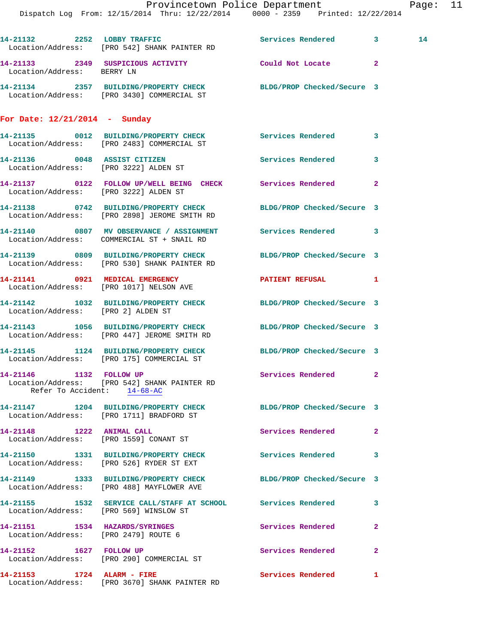|                                                        | Dispatch Log From: 12/15/2014 Thru: 12/22/2014 0000 - 2359 Printed: 12/22/2014                                   | Provincetown Police Department |              | Page: 11 |  |
|--------------------------------------------------------|------------------------------------------------------------------------------------------------------------------|--------------------------------|--------------|----------|--|
|                                                        | 14-21132 2252 LOBBY TRAFFIC<br>Location/Address: [PRO 542] SHANK PAINTER RD                                      | Services Rendered 3            |              | 14       |  |
| Location/Address: BERRY LN                             | 14-21133 2349 SUSPICIOUS ACTIVITY                                                                                | Could Not Locate 2             |              |          |  |
|                                                        | 14-21134 2357 BUILDING/PROPERTY CHECK BLDG/PROP Checked/Secure 3<br>Location/Address: [PRO 3430] COMMERCIAL ST   |                                |              |          |  |
| For Date: $12/21/2014$ - Sunday                        |                                                                                                                  |                                |              |          |  |
|                                                        | 14-21135 0012 BUILDING/PROPERTY CHECK Services Rendered 3<br>Location/Address: [PRO 2483] COMMERCIAL ST          |                                |              |          |  |
| Location/Address: [PRO 3222] ALDEN ST                  | 14-21136 0048 ASSIST CITIZEN                                                                                     | Services Rendered 3            |              |          |  |
|                                                        | 14-21137 0122 FOLLOW UP/WELL BEING CHECK Services Rendered 2<br>Location/Address: [PRO 3222] ALDEN ST            |                                |              |          |  |
|                                                        | 14-21138 0742 BUILDING/PROPERTY CHECK BLDG/PROP Checked/Secure 3<br>Location/Address: [PRO 2898] JEROME SMITH RD |                                |              |          |  |
|                                                        | 14-21140 0807 MV OBSERVANCE / ASSIGNMENT Services Rendered 3<br>Location/Address: COMMERCIAL ST + SNAIL RD       |                                |              |          |  |
|                                                        | 14-21139 0809 BUILDING/PROPERTY CHECK BLDG/PROP Checked/Secure 3<br>Location/Address: [PRO 530] SHANK PAINTER RD |                                |              |          |  |
|                                                        | 14-21141 0921 MEDICAL EMERGENCY<br>Location/Address: [PRO 1017] NELSON AVE                                       | PATIENT REFUSAL 1              |              |          |  |
| Location/Address: [PRO 2] ALDEN ST                     | 14-21142 1032 BUILDING/PROPERTY CHECK BLDG/PROP Checked/Secure 3                                                 |                                |              |          |  |
|                                                        | 14-21143 1056 BUILDING/PROPERTY CHECK BLDG/PROP Checked/Secure 3<br>Location/Address: [PRO 447] JEROME SMITH RD  |                                |              |          |  |
|                                                        | 14-21145 1124 BUILDING/PROPERTY CHECK BLDG/PROP Checked/Secure 3<br>Location/Address: [PRO 175] COMMERCIAL ST    |                                |              |          |  |
| 14-21146 1132 FOLLOW UP<br>Refer To Accident: 14-68-AC | Location/Address: [PRO 542] SHANK PAINTER RD                                                                     | Services Rendered 2            |              |          |  |
|                                                        | 14-21147 1204 BUILDING/PROPERTY CHECK BLDG/PROP Checked/Secure 3<br>Location/Address: [PRO 1711] BRADFORD ST     |                                |              |          |  |
| 14-21148 1222 ANIMAL CALL                              | Location/Address: [PRO 1559] CONANT ST                                                                           | Services Rendered 2            |              |          |  |
|                                                        | 14-21150 1331 BUILDING/PROPERTY CHECK Services Rendered 3<br>Location/Address: [PRO 526] RYDER ST EXT            |                                |              |          |  |
|                                                        | 14-21149 1333 BUILDING/PROPERTY CHECK BLDG/PROP Checked/Secure 3<br>Location/Address: [PRO 488] MAYFLOWER AVE    |                                |              |          |  |
| Location/Address: [PRO 569] WINSLOW ST                 | 14-21155               1532     SERVICE CALL/STAFF  AT  SCHOOL              Services  Rendered                   |                                | $\mathbf{3}$ |          |  |
| Location/Address: [PRO 2479] ROUTE 6                   | 14-21151 1534 HAZARDS/SYRINGES                                                                                   | Services Rendered              | $\mathbf{2}$ |          |  |
| 14-21152 1627 FOLLOW UP                                | Location/Address: [PRO 290] COMMERCIAL ST                                                                        | Services Rendered 2            |              |          |  |

**14-21153 1724 ALARM - FIRE Services Rendered 1**  Location/Address: [PRO 3670] SHANK PAINTER RD